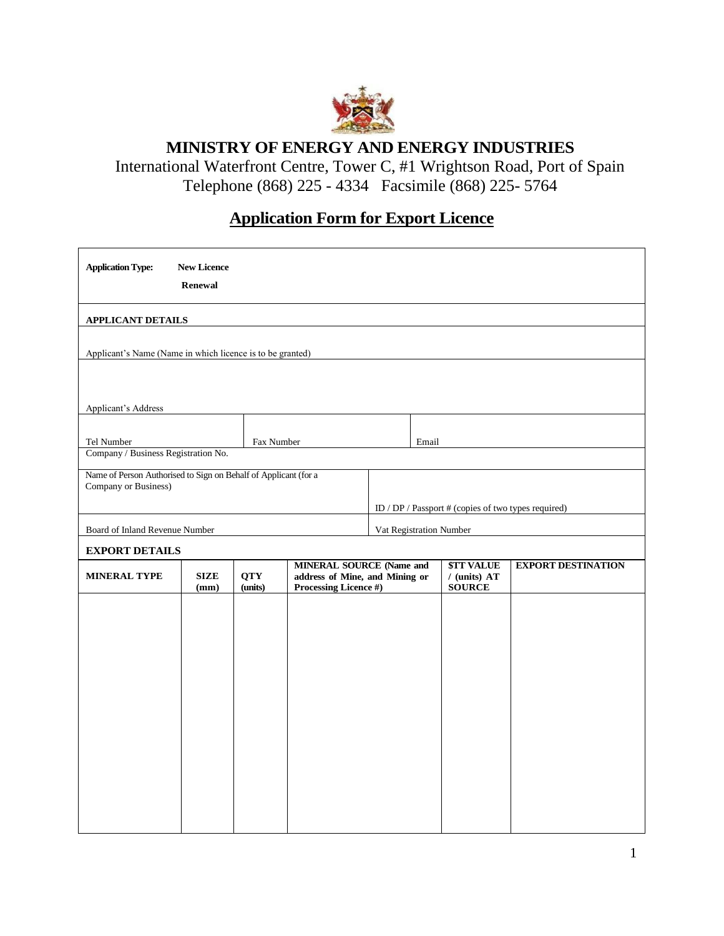

**MINISTRY OF ENERGY AND ENERGY INDUSTRIES**

International Waterfront Centre, Tower C, #1 Wrightson Road, Port of Spain Telephone (868) 225 - 4334 Facsimile (868) 225- 5764

## **Application Form for Export Licence**

| <b>APPLICANT DETAILS</b><br>Applicant's Name (Name in which licence is to be granted)<br><b>Applicant's Address</b><br>Tel Number<br>Fax Number<br>Email<br>Company / Business Registration No.                                                                     |  |  |  |
|---------------------------------------------------------------------------------------------------------------------------------------------------------------------------------------------------------------------------------------------------------------------|--|--|--|
|                                                                                                                                                                                                                                                                     |  |  |  |
|                                                                                                                                                                                                                                                                     |  |  |  |
|                                                                                                                                                                                                                                                                     |  |  |  |
|                                                                                                                                                                                                                                                                     |  |  |  |
|                                                                                                                                                                                                                                                                     |  |  |  |
|                                                                                                                                                                                                                                                                     |  |  |  |
| Name of Person Authorised to Sign on Behalf of Applicant (for a<br>Company or Business)                                                                                                                                                                             |  |  |  |
| ID / DP / Passport # (copies of two types required)                                                                                                                                                                                                                 |  |  |  |
| Board of Inland Revenue Number<br>Vat Registration Number                                                                                                                                                                                                           |  |  |  |
| <b>EXPORT DETAILS</b>                                                                                                                                                                                                                                               |  |  |  |
| <b>MINERAL SOURCE (Name and</b><br><b><i><u>STT VALUE</u></i></b><br><b>EXPORT DESTINATION</b><br><b>SIZE</b><br><b>QTY</b><br>address of Mine, and Mining or<br>$/$ (units) AT<br><b>MINERAL TYPE</b><br>(units)<br>Processing Licence #)<br>(mm)<br><b>SOURCE</b> |  |  |  |
|                                                                                                                                                                                                                                                                     |  |  |  |
|                                                                                                                                                                                                                                                                     |  |  |  |
|                                                                                                                                                                                                                                                                     |  |  |  |
|                                                                                                                                                                                                                                                                     |  |  |  |
|                                                                                                                                                                                                                                                                     |  |  |  |
|                                                                                                                                                                                                                                                                     |  |  |  |
|                                                                                                                                                                                                                                                                     |  |  |  |
|                                                                                                                                                                                                                                                                     |  |  |  |
|                                                                                                                                                                                                                                                                     |  |  |  |
|                                                                                                                                                                                                                                                                     |  |  |  |
|                                                                                                                                                                                                                                                                     |  |  |  |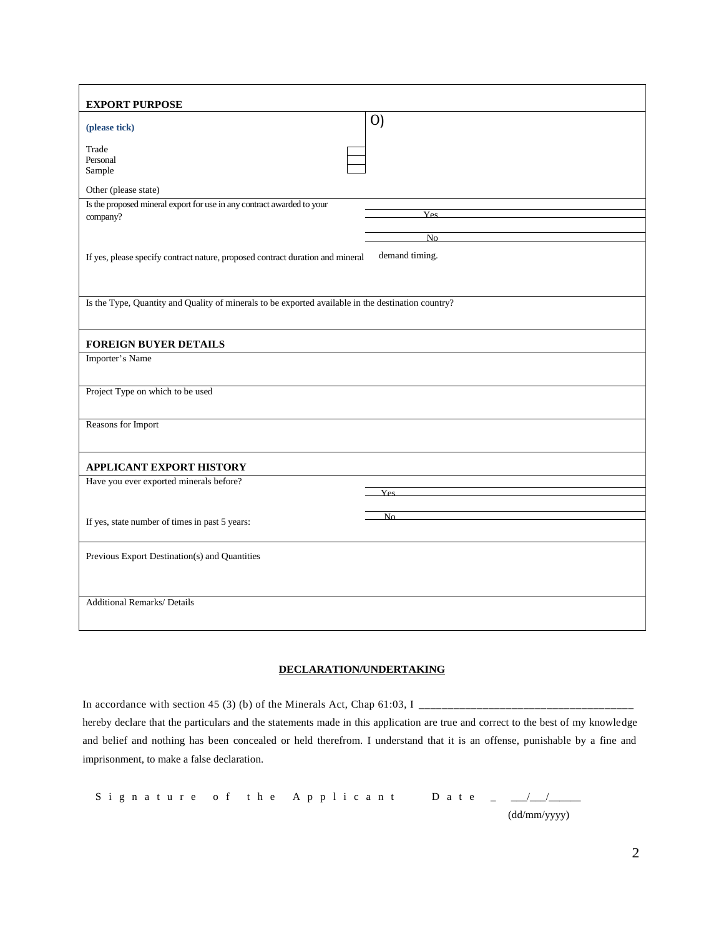| <b>EXPORT PURPOSE</b>                                                                              |                   |  |
|----------------------------------------------------------------------------------------------------|-------------------|--|
| (please tick)                                                                                      | $\left( 0\right)$ |  |
| Trade<br>Personal                                                                                  |                   |  |
| Sample                                                                                             |                   |  |
| Other (please state)                                                                               |                   |  |
| Is the proposed mineral export for use in any contract awarded to your<br>company?                 | Yes               |  |
|                                                                                                    | No                |  |
| demand timing.<br>If yes, please specify contract nature, proposed contract duration and mineral   |                   |  |
|                                                                                                    |                   |  |
| Is the Type, Quantity and Quality of minerals to be exported available in the destination country? |                   |  |
| <b>FOREIGN BUYER DETAILS</b>                                                                       |                   |  |
| Importer's Name                                                                                    |                   |  |
| Project Type on which to be used                                                                   |                   |  |
| Reasons for Import                                                                                 |                   |  |
| <b>APPLICANT EXPORT HISTORY</b>                                                                    |                   |  |
| Have you ever exported minerals before?                                                            |                   |  |
|                                                                                                    | Yes               |  |
|                                                                                                    | No                |  |
| If yes, state number of times in past 5 years:                                                     |                   |  |
| Previous Export Destination(s) and Quantities                                                      |                   |  |
|                                                                                                    |                   |  |
| <b>Additional Remarks/ Details</b>                                                                 |                   |  |
|                                                                                                    |                   |  |

## **DECLARATION/UNDERTAKING**

In accordance with section 45 (3) (b) of the Minerals Act, Chap 61:03, I \_\_\_\_\_\_\_\_\_\_\_\_\_\_\_\_\_\_\_\_\_\_\_\_\_\_\_\_\_\_\_\_\_\_\_\_\_ hereby declare that the particulars and the statements made in this application are true and correct to the best of my knowledge and belief and nothing has been concealed or held therefrom. I understand that it is an offense, punishable by a fine and imprisonment, to make a false declaration.

Signature of the Applicant Date \_  $\angle$ (dd/mm/yyyy)